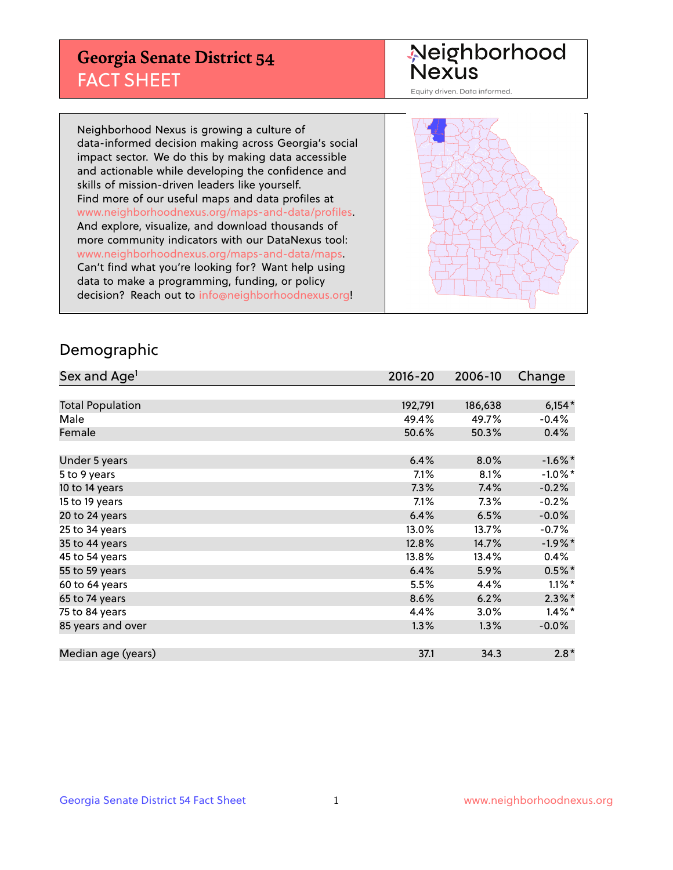## **Georgia Senate District 54** FACT SHEET

# Neighborhood<br>Nexus

Equity driven. Data informed.

Neighborhood Nexus is growing a culture of data-informed decision making across Georgia's social impact sector. We do this by making data accessible and actionable while developing the confidence and skills of mission-driven leaders like yourself. Find more of our useful maps and data profiles at www.neighborhoodnexus.org/maps-and-data/profiles. And explore, visualize, and download thousands of more community indicators with our DataNexus tool: www.neighborhoodnexus.org/maps-and-data/maps. Can't find what you're looking for? Want help using data to make a programming, funding, or policy decision? Reach out to [info@neighborhoodnexus.org!](mailto:info@neighborhoodnexus.org)



### Demographic

| Sex and Age <sup>1</sup> | $2016 - 20$ | 2006-10 | Change     |
|--------------------------|-------------|---------|------------|
|                          |             |         |            |
| <b>Total Population</b>  | 192,791     | 186,638 | $6,154*$   |
| Male                     | 49.4%       | 49.7%   | $-0.4%$    |
| Female                   | 50.6%       | 50.3%   | 0.4%       |
|                          |             |         |            |
| Under 5 years            | 6.4%        | 8.0%    | $-1.6\%$ * |
| 5 to 9 years             | 7.1%        | 8.1%    | $-1.0\%$ * |
| 10 to 14 years           | 7.3%        | 7.4%    | $-0.2%$    |
| 15 to 19 years           | 7.1%        | 7.3%    | $-0.2%$    |
| 20 to 24 years           | 6.4%        | 6.5%    | $-0.0%$    |
| 25 to 34 years           | 13.0%       | 13.7%   | $-0.7%$    |
| 35 to 44 years           | 12.8%       | 14.7%   | $-1.9%$ *  |
| 45 to 54 years           | 13.8%       | 13.4%   | 0.4%       |
| 55 to 59 years           | 6.4%        | 5.9%    | $0.5%$ *   |
| 60 to 64 years           | 5.5%        | 4.4%    | $1.1\%$ *  |
| 65 to 74 years           | 8.6%        | 6.2%    | $2.3\%$ *  |
| 75 to 84 years           | 4.4%        | 3.0%    | $1.4\%$ *  |
| 85 years and over        | 1.3%        | 1.3%    | $-0.0%$    |
|                          |             |         |            |
| Median age (years)       | 37.1        | 34.3    | $2.8*$     |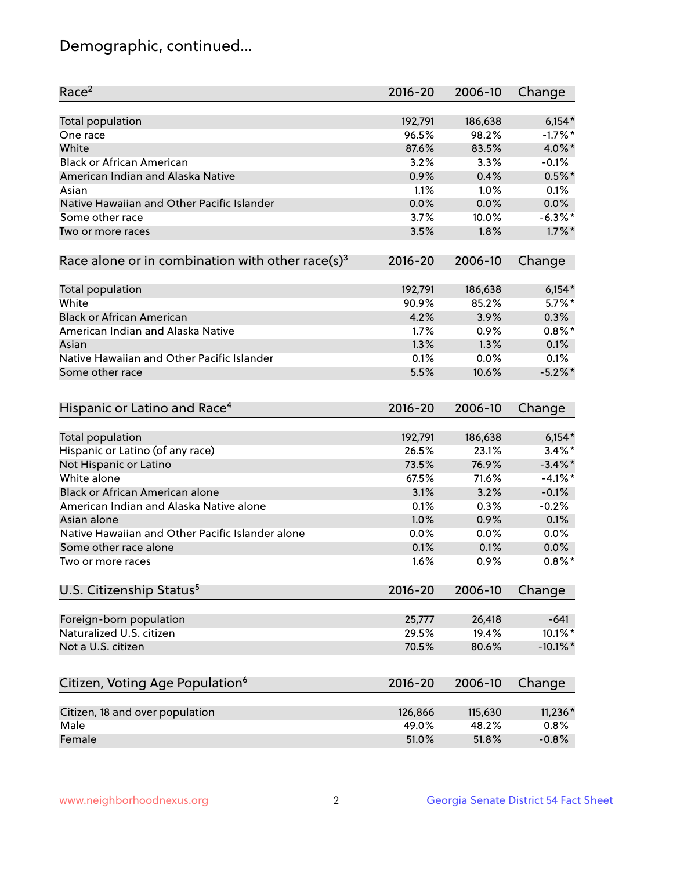## Demographic, continued...

| Race <sup>2</sup>                                            | $2016 - 20$     | 2006-10         | Change      |
|--------------------------------------------------------------|-----------------|-----------------|-------------|
| <b>Total population</b>                                      | 192,791         | 186,638         | $6,154*$    |
| One race                                                     | 96.5%           | 98.2%           | $-1.7%$ *   |
| White                                                        | 87.6%           | 83.5%           | 4.0%*       |
| <b>Black or African American</b>                             | 3.2%            | 3.3%            | $-0.1%$     |
| American Indian and Alaska Native                            | 0.9%            | 0.4%            | $0.5%$ *    |
| Asian                                                        | 1.1%            | 1.0%            | 0.1%        |
| Native Hawaiian and Other Pacific Islander                   | 0.0%            | 0.0%            | 0.0%        |
| Some other race                                              | 3.7%            | 10.0%           | $-6.3\%$ *  |
| Two or more races                                            | 3.5%            | 1.8%            | $1.7\%$ *   |
| Race alone or in combination with other race(s) <sup>3</sup> | $2016 - 20$     | 2006-10         | Change      |
| Total population                                             | 192,791         | 186,638         | $6,154*$    |
| White                                                        | 90.9%           | 85.2%           | $5.7\%$ *   |
| <b>Black or African American</b>                             | 4.2%            | 3.9%            | 0.3%        |
| American Indian and Alaska Native                            | 1.7%            | 0.9%            | $0.8\%$ *   |
| Asian                                                        | 1.3%            | 1.3%            | 0.1%        |
| Native Hawaiian and Other Pacific Islander                   | 0.1%            | 0.0%            | 0.1%        |
| Some other race                                              | 5.5%            | 10.6%           | $-5.2\%$ *  |
| Hispanic or Latino and Race <sup>4</sup>                     | $2016 - 20$     | 2006-10         | Change      |
| Total population                                             | 192,791         | 186,638         | $6,154*$    |
| Hispanic or Latino (of any race)                             | 26.5%           | 23.1%           | $3.4\%$ *   |
| Not Hispanic or Latino                                       | 73.5%           | 76.9%           | $-3.4\%$ *  |
| White alone                                                  | 67.5%           | 71.6%           | $-4.1%$ *   |
| Black or African American alone                              | 3.1%            | 3.2%            | $-0.1%$     |
| American Indian and Alaska Native alone                      | 0.1%            | 0.3%            | $-0.2%$     |
| Asian alone                                                  | 1.0%            | 0.9%            | 0.1%        |
| Native Hawaiian and Other Pacific Islander alone             | $0.0\%$         | 0.0%            | 0.0%        |
| Some other race alone                                        | 0.1%            | 0.1%            | 0.0%        |
| Two or more races                                            | 1.6%            | 0.9%            | $0.8\%$ *   |
| U.S. Citizenship Status <sup>5</sup>                         | $2016 - 20$     | 2006-10         | Change      |
| Foreign-born population                                      |                 |                 | $-641$      |
| Naturalized U.S. citizen                                     | 25,777<br>29.5% | 26,418<br>19.4% | 10.1%*      |
| Not a U.S. citizen                                           | 70.5%           | 80.6%           |             |
|                                                              |                 |                 | $-10.1\%$ * |
| Citizen, Voting Age Population <sup>6</sup>                  | $2016 - 20$     | 2006-10         | Change      |
| Citizen, 18 and over population                              | 126,866         | 115,630         | $11,236*$   |
| Male                                                         | 49.0%           | 48.2%           | 0.8%        |
| Female                                                       | 51.0%           | 51.8%           | $-0.8%$     |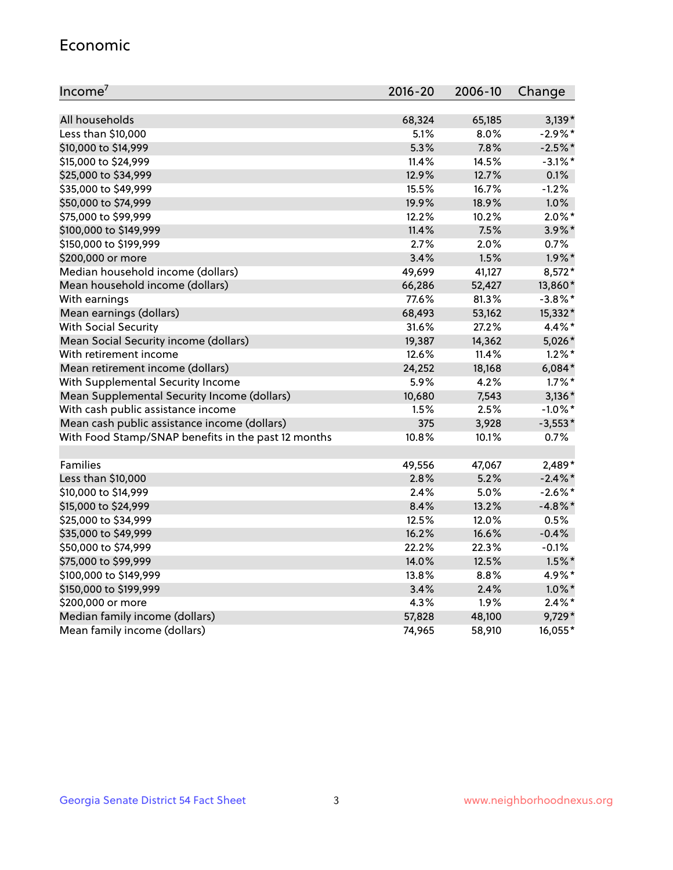#### Economic

| Income <sup>7</sup>                                 | $2016 - 20$ | 2006-10 | Change     |
|-----------------------------------------------------|-------------|---------|------------|
|                                                     |             |         |            |
| All households                                      | 68,324      | 65,185  | $3,139*$   |
| Less than \$10,000                                  | 5.1%        | 8.0%    | $-2.9\%$ * |
| \$10,000 to \$14,999                                | 5.3%        | 7.8%    | $-2.5%$ *  |
| \$15,000 to \$24,999                                | 11.4%       | 14.5%   | $-3.1\%$ * |
| \$25,000 to \$34,999                                | 12.9%       | 12.7%   | 0.1%       |
| \$35,000 to \$49,999                                | 15.5%       | 16.7%   | $-1.2%$    |
| \$50,000 to \$74,999                                | 19.9%       | 18.9%   | 1.0%       |
| \$75,000 to \$99,999                                | 12.2%       | 10.2%   | $2.0\%$ *  |
| \$100,000 to \$149,999                              | 11.4%       | 7.5%    | 3.9%*      |
| \$150,000 to \$199,999                              | 2.7%        | 2.0%    | 0.7%       |
| \$200,000 or more                                   | 3.4%        | 1.5%    | $1.9\%$ *  |
| Median household income (dollars)                   | 49,699      | 41,127  | 8,572*     |
| Mean household income (dollars)                     | 66,286      | 52,427  | 13,860*    |
| With earnings                                       | 77.6%       | 81.3%   | $-3.8\%$ * |
| Mean earnings (dollars)                             | 68,493      | 53,162  | 15,332*    |
| <b>With Social Security</b>                         | 31.6%       | 27.2%   | 4.4%*      |
| Mean Social Security income (dollars)               | 19,387      | 14,362  | 5,026*     |
| With retirement income                              | 12.6%       | 11.4%   | $1.2\%$ *  |
| Mean retirement income (dollars)                    | 24,252      | 18,168  | $6,084*$   |
| With Supplemental Security Income                   | 5.9%        | 4.2%    | $1.7\%$ *  |
| Mean Supplemental Security Income (dollars)         | 10,680      | 7,543   | $3,136*$   |
| With cash public assistance income                  | 1.5%        | 2.5%    | $-1.0\%$ * |
| Mean cash public assistance income (dollars)        | 375         | 3,928   | $-3,553*$  |
| With Food Stamp/SNAP benefits in the past 12 months | 10.8%       | 10.1%   | 0.7%       |
|                                                     |             |         |            |
| Families                                            | 49,556      | 47,067  | 2,489*     |
| Less than \$10,000                                  | 2.8%        | 5.2%    | $-2.4\%$ * |
| \$10,000 to \$14,999                                | 2.4%        | 5.0%    | $-2.6\%$ * |
| \$15,000 to \$24,999                                | 8.4%        | 13.2%   | $-4.8\%$ * |
| \$25,000 to \$34,999                                | 12.5%       | 12.0%   | 0.5%       |
| \$35,000 to \$49,999                                | 16.2%       | 16.6%   | $-0.4%$    |
| \$50,000 to \$74,999                                | 22.2%       | 22.3%   | $-0.1%$    |
| \$75,000 to \$99,999                                | 14.0%       | 12.5%   | $1.5\%$ *  |
| \$100,000 to \$149,999                              | 13.8%       | 8.8%    | 4.9%*      |
| \$150,000 to \$199,999                              | 3.4%        | 2.4%    | $1.0\%$ *  |
| \$200,000 or more                                   | 4.3%        | 1.9%    | $2.4\%$ *  |
| Median family income (dollars)                      | 57,828      | 48,100  | 9,729*     |
| Mean family income (dollars)                        | 74,965      | 58,910  | 16,055*    |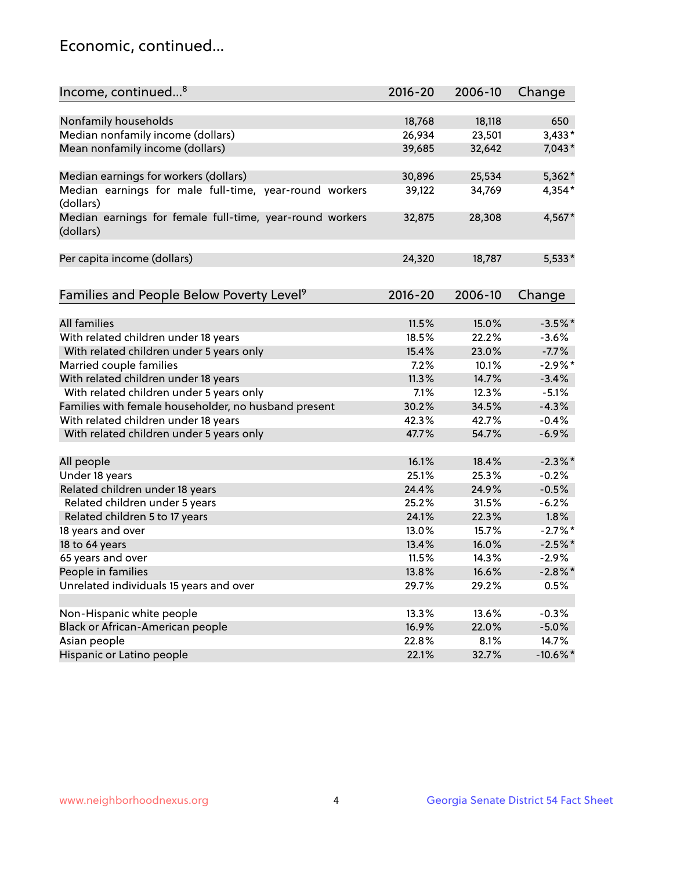## Economic, continued...

| Income, continued <sup>8</sup>                                        | $2016 - 20$ | 2006-10 | Change      |
|-----------------------------------------------------------------------|-------------|---------|-------------|
|                                                                       |             |         |             |
| Nonfamily households                                                  | 18,768      | 18,118  | 650         |
| Median nonfamily income (dollars)                                     | 26,934      | 23,501  | $3,433*$    |
| Mean nonfamily income (dollars)                                       | 39,685      | 32,642  | $7,043*$    |
| Median earnings for workers (dollars)                                 | 30,896      | 25,534  | $5,362*$    |
| Median earnings for male full-time, year-round workers<br>(dollars)   | 39,122      | 34,769  | 4,354*      |
| Median earnings for female full-time, year-round workers<br>(dollars) | 32,875      | 28,308  | 4,567*      |
| Per capita income (dollars)                                           | 24,320      | 18,787  | $5,533*$    |
| Families and People Below Poverty Level <sup>9</sup>                  | $2016 - 20$ | 2006-10 | Change      |
|                                                                       |             |         |             |
| All families                                                          | 11.5%       | 15.0%   | $-3.5%$ *   |
| With related children under 18 years                                  | 18.5%       | 22.2%   | $-3.6%$     |
| With related children under 5 years only                              | 15.4%       | 23.0%   | $-7.7%$     |
| Married couple families                                               | 7.2%        | 10.1%   | $-2.9\%$ *  |
| With related children under 18 years                                  | 11.3%       | 14.7%   | $-3.4%$     |
| With related children under 5 years only                              | 7.1%        | 12.3%   | $-5.1%$     |
| Families with female householder, no husband present                  | 30.2%       | 34.5%   | $-4.3%$     |
| With related children under 18 years                                  | 42.3%       | 42.7%   | $-0.4%$     |
| With related children under 5 years only                              | 47.7%       | 54.7%   | $-6.9%$     |
| All people                                                            | 16.1%       | 18.4%   | $-2.3%$ *   |
| Under 18 years                                                        | 25.1%       | 25.3%   | $-0.2%$     |
| Related children under 18 years                                       | 24.4%       | 24.9%   | $-0.5%$     |
| Related children under 5 years                                        | 25.2%       | 31.5%   | $-6.2%$     |
| Related children 5 to 17 years                                        | 24.1%       | 22.3%   | $1.8\%$     |
| 18 years and over                                                     | 13.0%       | 15.7%   | $-2.7%$ *   |
| 18 to 64 years                                                        | 13.4%       | 16.0%   | $-2.5%$ *   |
| 65 years and over                                                     | 11.5%       | 14.3%   | $-2.9%$     |
| People in families                                                    | 13.8%       | 16.6%   | $-2.8\%$ *  |
| Unrelated individuals 15 years and over                               | 29.7%       | 29.2%   | 0.5%        |
|                                                                       |             |         |             |
| Non-Hispanic white people                                             | 13.3%       | 13.6%   | $-0.3%$     |
| Black or African-American people                                      | 16.9%       | 22.0%   | $-5.0%$     |
| Asian people                                                          | 22.8%       | 8.1%    | 14.7%       |
| Hispanic or Latino people                                             | 22.1%       | 32.7%   | $-10.6\%$ * |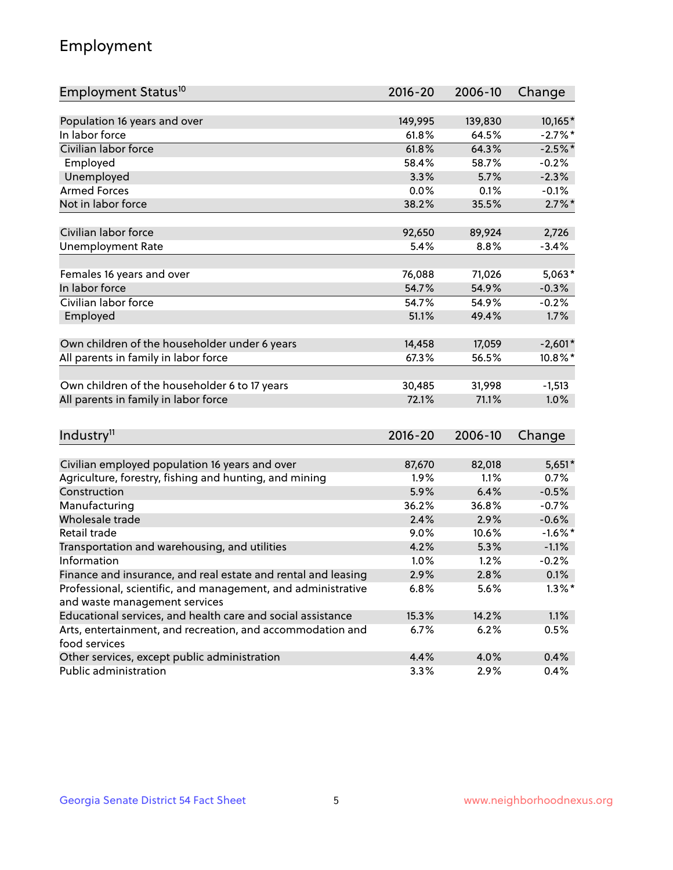## Employment

| Employment Status <sup>10</sup>                                             | $2016 - 20$ | 2006-10 | Change     |
|-----------------------------------------------------------------------------|-------------|---------|------------|
|                                                                             |             |         |            |
| Population 16 years and over                                                | 149,995     | 139,830 | 10,165*    |
| In labor force                                                              | 61.8%       | 64.5%   | $-2.7%$ *  |
| Civilian labor force                                                        | 61.8%       | 64.3%   | $-2.5%$ *  |
| Employed                                                                    | 58.4%       | 58.7%   | $-0.2%$    |
| Unemployed                                                                  | 3.3%        | 5.7%    | $-2.3%$    |
| <b>Armed Forces</b>                                                         | 0.0%        | 0.1%    | $-0.1%$    |
| Not in labor force                                                          | 38.2%       | 35.5%   | $2.7\%$ *  |
| Civilian labor force                                                        |             |         |            |
|                                                                             | 92,650      | 89,924  | 2,726      |
| <b>Unemployment Rate</b>                                                    | 5.4%        | 8.8%    | $-3.4%$    |
| Females 16 years and over                                                   | 76,088      | 71,026  | $5,063*$   |
| In labor force                                                              | 54.7%       | 54.9%   | $-0.3%$    |
| Civilian labor force                                                        | 54.7%       | 54.9%   | $-0.2%$    |
| Employed                                                                    | 51.1%       | 49.4%   | 1.7%       |
|                                                                             |             |         |            |
| Own children of the householder under 6 years                               | 14,458      | 17,059  | $-2,601*$  |
| All parents in family in labor force                                        | 67.3%       | 56.5%   | 10.8%*     |
| Own children of the householder 6 to 17 years                               | 30,485      | 31,998  | $-1,513$   |
| All parents in family in labor force                                        | 72.1%       | 71.1%   | 1.0%       |
|                                                                             |             |         |            |
| Industry <sup>11</sup>                                                      | $2016 - 20$ | 2006-10 | Change     |
|                                                                             |             |         |            |
| Civilian employed population 16 years and over                              | 87,670      | 82,018  | $5,651*$   |
| Agriculture, forestry, fishing and hunting, and mining                      | 1.9%        | 1.1%    | 0.7%       |
| Construction                                                                | 5.9%        | 6.4%    | $-0.5%$    |
| Manufacturing                                                               | 36.2%       | 36.8%   | $-0.7%$    |
| Wholesale trade                                                             | 2.4%        | 2.9%    | $-0.6%$    |
| Retail trade                                                                | $9.0\%$     | 10.6%   | $-1.6\%$ * |
| Transportation and warehousing, and utilities                               | 4.2%        | 5.3%    | $-1.1%$    |
| Information                                                                 | 1.0%        | 1.2%    | $-0.2%$    |
| Finance and insurance, and real estate and rental and leasing               | 2.9%        | 2.8%    | 0.1%       |
| Professional, scientific, and management, and administrative                | 6.8%        | 5.6%    | $1.3\%$ *  |
| and waste management services                                               |             |         |            |
| Educational services, and health care and social assistance                 | 15.3%       | 14.2%   | 1.1%       |
| Arts, entertainment, and recreation, and accommodation and<br>food services | 6.7%        | 6.2%    | 0.5%       |
| Other services, except public administration                                | 4.4%        | 4.0%    | 0.4%       |
| Public administration                                                       | 3.3%        | 2.9%    | 0.4%       |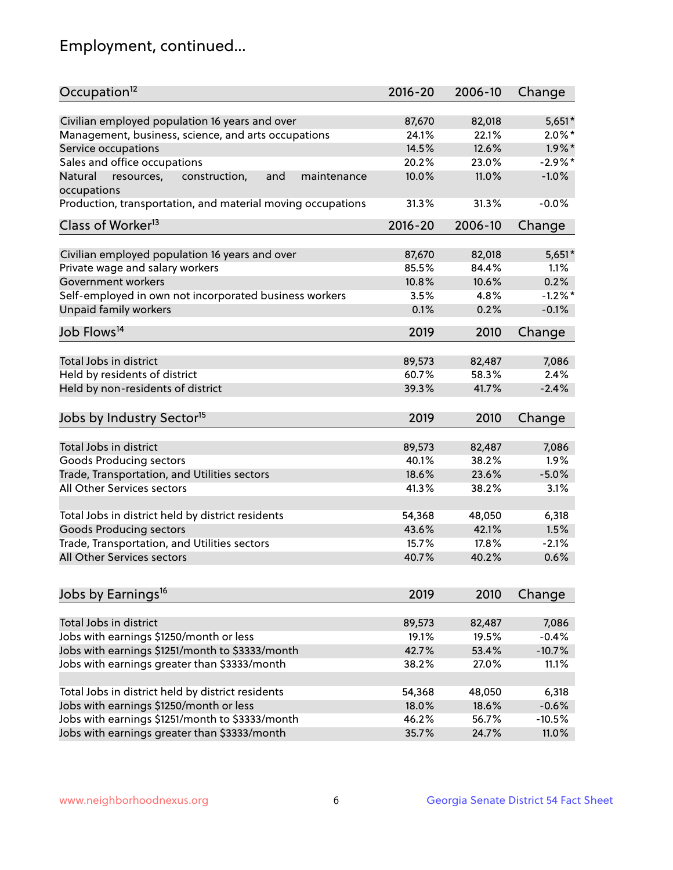## Employment, continued...

| Occupation <sup>12</sup>                                                    | $2016 - 20$ | 2006-10 | Change    |
|-----------------------------------------------------------------------------|-------------|---------|-----------|
| Civilian employed population 16 years and over                              | 87,670      | 82,018  | $5,651*$  |
| Management, business, science, and arts occupations                         | 24.1%       | 22.1%   | $2.0\%$ * |
| Service occupations                                                         | 14.5%       | 12.6%   | $1.9\%$ * |
| Sales and office occupations                                                | 20.2%       | 23.0%   | $-2.9%$ * |
|                                                                             |             |         | $-1.0%$   |
| Natural<br>and<br>resources,<br>construction,<br>maintenance<br>occupations | 10.0%       | 11.0%   |           |
| Production, transportation, and material moving occupations                 | 31.3%       | 31.3%   | $-0.0%$   |
| Class of Worker <sup>13</sup>                                               | $2016 - 20$ | 2006-10 | Change    |
|                                                                             |             |         |           |
| Civilian employed population 16 years and over                              | 87,670      | 82,018  | $5,651*$  |
| Private wage and salary workers                                             | 85.5%       | 84.4%   | 1.1%      |
| Government workers                                                          | 10.8%       | 10.6%   | 0.2%      |
| Self-employed in own not incorporated business workers                      | 3.5%        | 4.8%    | $-1.2%$   |
| Unpaid family workers                                                       | 0.1%        | 0.2%    | $-0.1%$   |
| Job Flows <sup>14</sup>                                                     | 2019        | 2010    | Change    |
|                                                                             |             |         |           |
| Total Jobs in district                                                      | 89,573      | 82,487  | 7,086     |
| Held by residents of district                                               | 60.7%       | 58.3%   | 2.4%      |
| Held by non-residents of district                                           | 39.3%       | 41.7%   | $-2.4%$   |
| Jobs by Industry Sector <sup>15</sup>                                       | 2019        | 2010    | Change    |
|                                                                             |             |         |           |
| Total Jobs in district                                                      | 89,573      | 82,487  | 7,086     |
| Goods Producing sectors                                                     | 40.1%       | 38.2%   | 1.9%      |
| Trade, Transportation, and Utilities sectors                                | 18.6%       | 23.6%   | $-5.0%$   |
| All Other Services sectors                                                  | 41.3%       | 38.2%   | 3.1%      |
| Total Jobs in district held by district residents                           | 54,368      | 48,050  | 6,318     |
| <b>Goods Producing sectors</b>                                              | 43.6%       | 42.1%   | 1.5%      |
| Trade, Transportation, and Utilities sectors                                | 15.7%       | 17.8%   | $-2.1%$   |
| All Other Services sectors                                                  | 40.7%       | 40.2%   | 0.6%      |
|                                                                             |             |         |           |
| Jobs by Earnings <sup>16</sup>                                              | 2019        | 2010    | Change    |
|                                                                             |             |         |           |
| Total Jobs in district                                                      | 89,573      | 82,487  | 7,086     |
| Jobs with earnings \$1250/month or less                                     | 19.1%       | 19.5%   | $-0.4%$   |
| Jobs with earnings \$1251/month to \$3333/month                             | 42.7%       | 53.4%   | $-10.7%$  |
| Jobs with earnings greater than \$3333/month                                | 38.2%       | 27.0%   | 11.1%     |
| Total Jobs in district held by district residents                           | 54,368      | 48,050  | 6,318     |
| Jobs with earnings \$1250/month or less                                     | 18.0%       | 18.6%   | $-0.6%$   |
| Jobs with earnings \$1251/month to \$3333/month                             | 46.2%       | 56.7%   | $-10.5%$  |
| Jobs with earnings greater than \$3333/month                                | 35.7%       | 24.7%   | 11.0%     |
|                                                                             |             |         |           |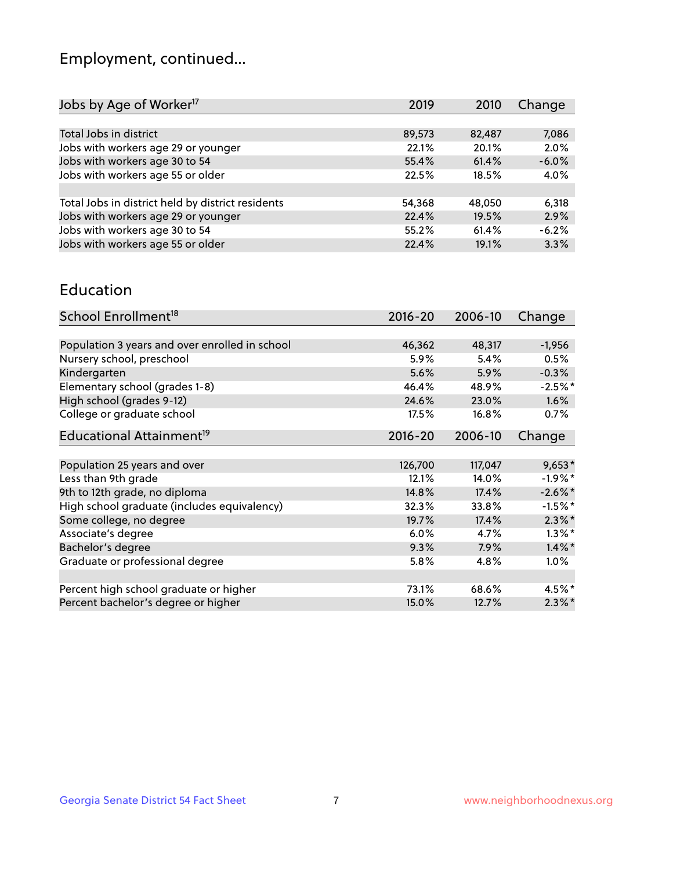## Employment, continued...

| Jobs by Age of Worker <sup>17</sup>               | 2019   | 2010   | Change  |
|---------------------------------------------------|--------|--------|---------|
|                                                   |        |        |         |
| Total Jobs in district                            | 89,573 | 82,487 | 7,086   |
| Jobs with workers age 29 or younger               | 22.1%  | 20.1%  | 2.0%    |
| Jobs with workers age 30 to 54                    | 55.4%  | 61.4%  | $-6.0%$ |
| Jobs with workers age 55 or older                 | 22.5%  | 18.5%  | 4.0%    |
|                                                   |        |        |         |
| Total Jobs in district held by district residents | 54,368 | 48,050 | 6,318   |
| Jobs with workers age 29 or younger               | 22.4%  | 19.5%  | 2.9%    |
| Jobs with workers age 30 to 54                    | 55.2%  | 61.4%  | $-6.2%$ |
| Jobs with workers age 55 or older                 | 22.4%  | 19.1%  | 3.3%    |
|                                                   |        |        |         |

#### Education

| School Enrollment <sup>18</sup>                | $2016 - 20$ | 2006-10 | Change     |
|------------------------------------------------|-------------|---------|------------|
|                                                |             |         |            |
| Population 3 years and over enrolled in school | 46,362      | 48,317  | $-1,956$   |
| Nursery school, preschool                      | 5.9%        | 5.4%    | 0.5%       |
| Kindergarten                                   | 5.6%        | 5.9%    | $-0.3%$    |
| Elementary school (grades 1-8)                 | 46.4%       | 48.9%   | $-2.5%$ *  |
| High school (grades 9-12)                      | 24.6%       | 23.0%   | $1.6\%$    |
| College or graduate school                     | 17.5%       | 16.8%   | 0.7%       |
| Educational Attainment <sup>19</sup>           | $2016 - 20$ | 2006-10 | Change     |
|                                                |             |         |            |
| Population 25 years and over                   | 126,700     | 117,047 | $9,653*$   |
| Less than 9th grade                            | 12.1%       | 14.0%   | $-1.9\%$ * |
| 9th to 12th grade, no diploma                  | 14.8%       | 17.4%   | $-2.6\%$ * |
| High school graduate (includes equivalency)    | 32.3%       | 33.8%   | $-1.5\%$ * |
| Some college, no degree                        | 19.7%       | 17.4%   | $2.3\%$ *  |
| Associate's degree                             | 6.0%        | 4.7%    | $1.3\%$ *  |
| Bachelor's degree                              | 9.3%        | 7.9%    | $1.4\%$ *  |
| Graduate or professional degree                | 5.8%        | 4.8%    | 1.0%       |
|                                                |             |         |            |
| Percent high school graduate or higher         | 73.1%       | 68.6%   | 4.5%*      |
| Percent bachelor's degree or higher            | 15.0%       | 12.7%   | $2.3\%$ *  |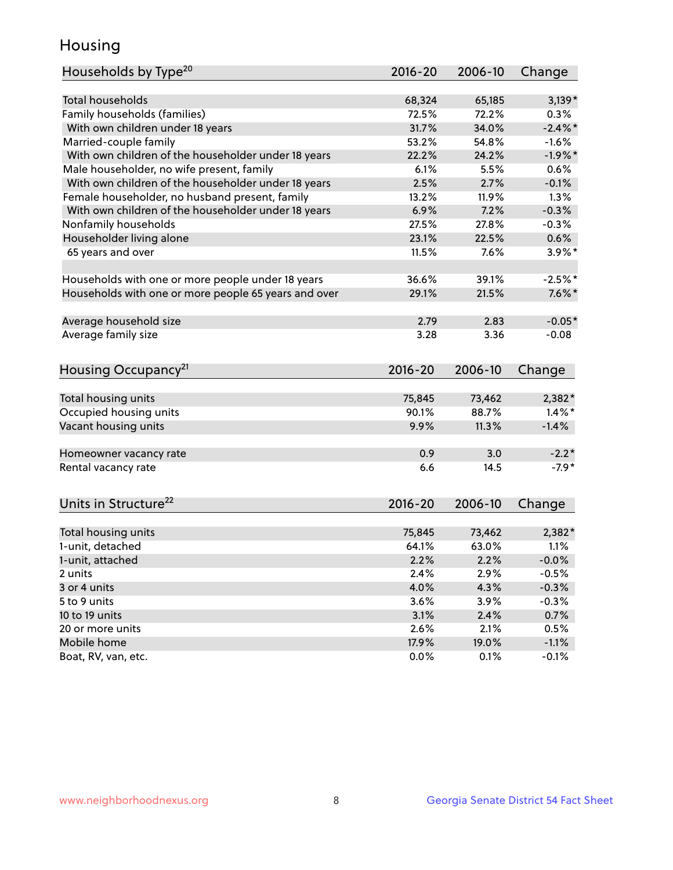## Housing

| Households by Type <sup>20</sup>                     | 2016-20     | 2006-10 | Change     |
|------------------------------------------------------|-------------|---------|------------|
|                                                      |             |         |            |
| <b>Total households</b>                              | 68,324      | 65,185  | $3,139*$   |
| Family households (families)                         | 72.5%       | 72.2%   | 0.3%       |
| With own children under 18 years                     | 31.7%       | 34.0%   | $-2.4\%$ * |
| Married-couple family                                | 53.2%       | 54.8%   | $-1.6%$    |
| With own children of the householder under 18 years  | 22.2%       | 24.2%   | $-1.9\%$ * |
| Male householder, no wife present, family            | 6.1%        | 5.5%    | 0.6%       |
| With own children of the householder under 18 years  | 2.5%        | 2.7%    | $-0.1%$    |
| Female householder, no husband present, family       | 13.2%       | 11.9%   | 1.3%       |
| With own children of the householder under 18 years  | 6.9%        | 7.2%    | $-0.3%$    |
| Nonfamily households                                 | 27.5%       | 27.8%   | $-0.3%$    |
| Householder living alone                             | 23.1%       | 22.5%   | 0.6%       |
| 65 years and over                                    | 11.5%       | 7.6%    | $3.9\%$ *  |
|                                                      |             |         |            |
| Households with one or more people under 18 years    | 36.6%       | 39.1%   | $-2.5%$ *  |
| Households with one or more people 65 years and over | 29.1%       | 21.5%   | $7.6\%$ *  |
|                                                      |             |         |            |
| Average household size                               | 2.79        | 2.83    | $-0.05*$   |
| Average family size                                  | 3.28        | 3.36    | $-0.08$    |
| Housing Occupancy <sup>21</sup>                      | $2016 - 20$ | 2006-10 | Change     |
|                                                      |             |         |            |
| Total housing units                                  | 75,845      | 73,462  | 2,382*     |
| Occupied housing units                               | 90.1%       | 88.7%   | $1.4\%$ *  |
| Vacant housing units                                 | 9.9%        | 11.3%   | $-1.4%$    |
|                                                      |             |         |            |
| Homeowner vacancy rate                               | 0.9         | 3.0     | $-2.2*$    |
| Rental vacancy rate                                  | 6.6         | 14.5    | $-7.9*$    |
| Units in Structure <sup>22</sup>                     | $2016 - 20$ | 2006-10 | Change     |
|                                                      |             |         |            |
| Total housing units                                  | 75,845      | 73,462  | 2,382*     |
| 1-unit, detached                                     | 64.1%       | 63.0%   | 1.1%       |
| 1-unit, attached                                     | 2.2%        | 2.2%    | $-0.0%$    |
| 2 units                                              | 2.4%        | 2.9%    | $-0.5%$    |
| 3 or 4 units                                         | 4.0%        | 4.3%    | $-0.3%$    |
| 5 to 9 units                                         | 3.6%        | 3.9%    | $-0.3%$    |
| 10 to 19 units                                       | 3.1%        | 2.4%    | 0.7%       |
| 20 or more units                                     | 2.6%        | 2.1%    | 0.5%       |
| Mobile home                                          | 17.9%       | 19.0%   | $-1.1%$    |
| Boat, RV, van, etc.                                  | 0.0%        | 0.1%    | $-0.1%$    |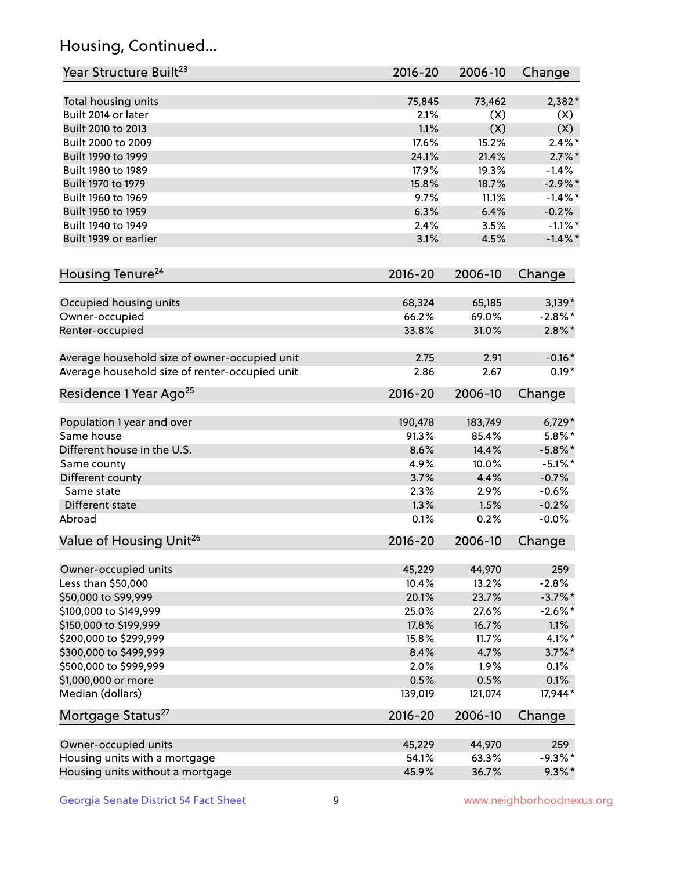## Housing, Continued...

| Year Structure Built <sup>23</sup>             | 2016-20     | 2006-10 | Change     |
|------------------------------------------------|-------------|---------|------------|
| Total housing units                            | 75,845      | 73,462  | 2,382*     |
| Built 2014 or later                            | 2.1%        | (X)     | (X)        |
| Built 2010 to 2013                             | 1.1%        | (X)     | (X)        |
| Built 2000 to 2009                             | 17.6%       | 15.2%   | $2.4\%$ *  |
| Built 1990 to 1999                             | 24.1%       | 21.4%   | $2.7\%$ *  |
| Built 1980 to 1989                             | 17.9%       | 19.3%   | $-1.4%$    |
| Built 1970 to 1979                             | 15.8%       | 18.7%   | $-2.9%$ *  |
| Built 1960 to 1969                             | 9.7%        | 11.1%   | $-1.4\%$ * |
| Built 1950 to 1959                             | 6.3%        | 6.4%    | $-0.2%$    |
| Built 1940 to 1949                             | 2.4%        | 3.5%    | $-1.1\%$ * |
| Built 1939 or earlier                          | 3.1%        | 4.5%    | $-1.4\%$ * |
| Housing Tenure <sup>24</sup>                   | $2016 - 20$ | 2006-10 | Change     |
| Occupied housing units                         | 68,324      | 65,185  | $3,139*$   |
| Owner-occupied                                 | 66.2%       | 69.0%   | $-2.8\%$ * |
| Renter-occupied                                | 33.8%       | 31.0%   | $2.8\%$ *  |
| Average household size of owner-occupied unit  | 2.75        | 2.91    | $-0.16*$   |
| Average household size of renter-occupied unit | 2.86        | 2.67    | $0.19*$    |
| Residence 1 Year Ago <sup>25</sup>             | $2016 - 20$ | 2006-10 | Change     |
| Population 1 year and over                     | 190,478     | 183,749 | $6,729*$   |
| Same house                                     | 91.3%       | 85.4%   | $5.8\%$ *  |
| Different house in the U.S.                    | 8.6%        | 14.4%   | $-5.8\%$ * |
| Same county                                    | 4.9%        | 10.0%   | $-5.1\%$ * |
| Different county                               | 3.7%        | 4.4%    | $-0.7%$    |
| Same state                                     | 2.3%        | 2.9%    | $-0.6%$    |
| Different state                                | 1.3%        | 1.5%    | $-0.2%$    |
| Abroad                                         | 0.1%        | 0.2%    | $-0.0%$    |
| Value of Housing Unit <sup>26</sup>            | $2016 - 20$ | 2006-10 | Change     |
| Owner-occupied units                           | 45,229      | 44,970  | 259        |
| Less than \$50,000                             | 10.4%       | 13.2%   | $-2.8%$    |
| \$50,000 to \$99,999                           | 20.1%       | 23.7%   | $-3.7\%$ * |
| \$100,000 to \$149,999                         | 25.0%       | 27.6%   | $-2.6\%$ * |
| \$150,000 to \$199,999                         | 17.8%       | 16.7%   | 1.1%       |
| \$200,000 to \$299,999                         | 15.8%       | 11.7%   | $4.1\%$ *  |
| \$300,000 to \$499,999                         | 8.4%        | 4.7%    | $3.7\%$ *  |
| \$500,000 to \$999,999                         | 2.0%        | 1.9%    | 0.1%       |
| \$1,000,000 or more                            | 0.5%        | 0.5%    | 0.1%       |
| Median (dollars)                               | 139,019     | 121,074 | 17,944*    |
| Mortgage Status <sup>27</sup>                  | $2016 - 20$ | 2006-10 | Change     |
| Owner-occupied units                           | 45,229      | 44,970  | 259        |
| Housing units with a mortgage                  | 54.1%       | 63.3%   | $-9.3\%$ * |
| Housing units without a mortgage               | 45.9%       | 36.7%   | $9.3\%$ *  |
|                                                |             |         |            |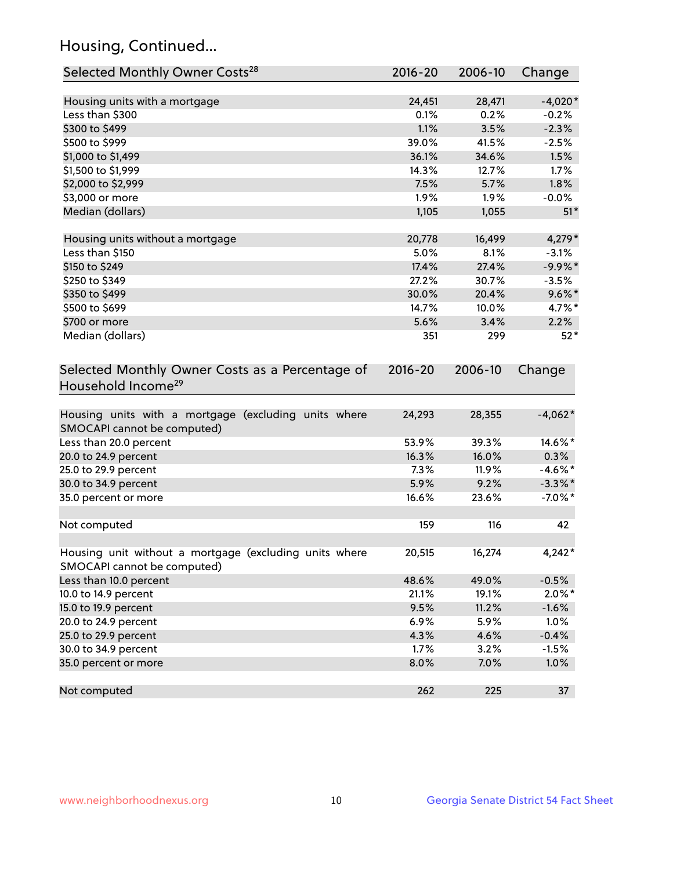## Housing, Continued...

| Selected Monthly Owner Costs <sup>28</sup>                                            | $2016 - 20$ | 2006-10 | Change     |
|---------------------------------------------------------------------------------------|-------------|---------|------------|
| Housing units with a mortgage                                                         | 24,451      | 28,471  | $-4,020*$  |
| Less than \$300                                                                       | 0.1%        | 0.2%    | $-0.2%$    |
| \$300 to \$499                                                                        | 1.1%        | 3.5%    | $-2.3%$    |
| \$500 to \$999                                                                        | 39.0%       | 41.5%   | $-2.5%$    |
| \$1,000 to \$1,499                                                                    | 36.1%       | 34.6%   | 1.5%       |
| \$1,500 to \$1,999                                                                    | 14.3%       | 12.7%   | 1.7%       |
| \$2,000 to \$2,999                                                                    | 7.5%        | 5.7%    | 1.8%       |
| \$3,000 or more                                                                       | 1.9%        | $1.9\%$ | $-0.0%$    |
| Median (dollars)                                                                      | 1,105       | 1,055   | $51*$      |
| Housing units without a mortgage                                                      | 20,778      | 16,499  | 4,279*     |
| Less than \$150                                                                       | 5.0%        | 8.1%    | $-3.1%$    |
| \$150 to \$249                                                                        | 17.4%       | 27.4%   | $-9.9%$ *  |
| \$250 to \$349                                                                        | 27.2%       | 30.7%   | $-3.5%$    |
| \$350 to \$499                                                                        | 30.0%       | 20.4%   | $9.6\%$ *  |
| \$500 to \$699                                                                        | 14.7%       | 10.0%   | 4.7%*      |
| \$700 or more                                                                         | 5.6%        | 3.4%    | 2.2%       |
| Median (dollars)                                                                      | 351         | 299     | $52*$      |
| Selected Monthly Owner Costs as a Percentage of<br>Household Income <sup>29</sup>     | $2016 - 20$ | 2006-10 | Change     |
| Housing units with a mortgage (excluding units where<br>SMOCAPI cannot be computed)   | 24,293      | 28,355  | $-4,062*$  |
| Less than 20.0 percent                                                                | 53.9%       | 39.3%   | 14.6%*     |
| 20.0 to 24.9 percent                                                                  | 16.3%       | 16.0%   | 0.3%       |
| 25.0 to 29.9 percent                                                                  | 7.3%        | 11.9%   | $-4.6\%$ * |
| 30.0 to 34.9 percent                                                                  | 5.9%        | 9.2%    | $-3.3\%$ * |
| 35.0 percent or more                                                                  | 16.6%       | 23.6%   | $-7.0\%$ * |
| Not computed                                                                          | 159         | 116     | 42         |
| Housing unit without a mortgage (excluding units where<br>SMOCAPI cannot be computed) | 20,515      | 16,274  | $4,242*$   |
| Less than 10.0 percent                                                                | 48.6%       | 49.0%   | $-0.5%$    |
| 10.0 to 14.9 percent                                                                  | 21.1%       | 19.1%   | $2.0\%$ *  |
| 15.0 to 19.9 percent                                                                  | 9.5%        | 11.2%   | $-1.6%$    |
| 20.0 to 24.9 percent                                                                  | 6.9%        | 5.9%    | 1.0%       |
| 25.0 to 29.9 percent                                                                  | 4.3%        | 4.6%    | $-0.4%$    |
| 30.0 to 34.9 percent                                                                  | 1.7%        | 3.2%    | $-1.5%$    |
| 35.0 percent or more                                                                  | 8.0%        | 7.0%    | 1.0%       |
| Not computed                                                                          | 262         | 225     | 37         |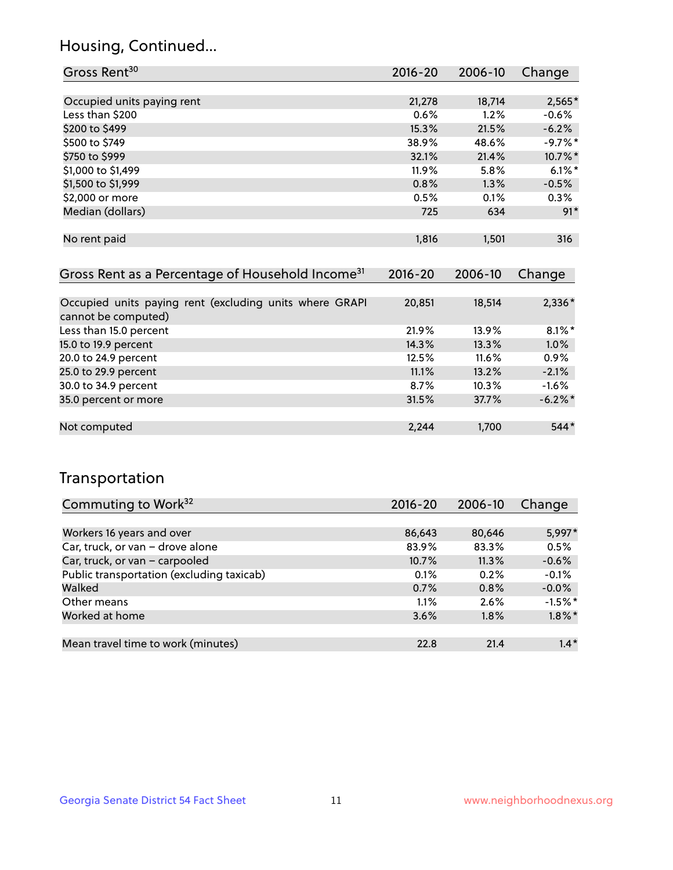## Housing, Continued...

| Gross Rent <sup>30</sup>   | 2016-20  | 2006-10 | Change     |
|----------------------------|----------|---------|------------|
|                            |          |         |            |
| Occupied units paying rent | 21,278   | 18,714  | $2,565*$   |
| Less than \$200            | 0.6%     | 1.2%    | $-0.6%$    |
| \$200 to \$499             | 15.3%    | 21.5%   | $-6.2%$    |
| \$500 to \$749             | 38.9%    | 48.6%   | $-9.7%$ *  |
| \$750 to \$999             | 32.1%    | 21.4%   | $10.7\%$ * |
| \$1,000 to \$1,499         | $11.9\%$ | 5.8%    | $6.1\%$ *  |
| \$1,500 to \$1,999         | 0.8%     | 1.3%    | $-0.5%$    |
| \$2,000 or more            | 0.5%     | 0.1%    | 0.3%       |
| Median (dollars)           | 725      | 634     | $91*$      |
|                            |          |         |            |
| No rent paid               | 1,816    | 1,501   | 316        |
|                            |          |         |            |

| Gross Rent as a Percentage of Household Income <sup>31</sup>                   | $2016 - 20$ | 2006-10 | Change    |
|--------------------------------------------------------------------------------|-------------|---------|-----------|
|                                                                                |             |         |           |
| Occupied units paying rent (excluding units where GRAPI<br>cannot be computed) | 20,851      | 18,514  | $2,336*$  |
| Less than 15.0 percent                                                         | 21.9%       | 13.9%   | $8.1\%$ * |
| 15.0 to 19.9 percent                                                           | 14.3%       | 13.3%   | $1.0\%$   |
| 20.0 to 24.9 percent                                                           | 12.5%       | 11.6%   | 0.9%      |
| 25.0 to 29.9 percent                                                           | 11.1%       | 13.2%   | $-2.1%$   |
| 30.0 to 34.9 percent                                                           | 8.7%        | 10.3%   | $-1.6%$   |
| 35.0 percent or more                                                           | 31.5%       | 37.7%   | $-6.2%$   |
|                                                                                |             |         |           |
| Not computed                                                                   | 2,244       | 1,700   | $544*$    |

## Transportation

| Commuting to Work <sup>32</sup>           | 2016-20 | 2006-10 | Change    |
|-------------------------------------------|---------|---------|-----------|
|                                           |         |         |           |
| Workers 16 years and over                 | 86,643  | 80,646  | 5,997*    |
| Car, truck, or van - drove alone          | 83.9%   | 83.3%   | 0.5%      |
| Car, truck, or van - carpooled            | 10.7%   | 11.3%   | $-0.6%$   |
| Public transportation (excluding taxicab) | 0.1%    | 0.2%    | $-0.1%$   |
| Walked                                    | 0.7%    | 0.8%    | $-0.0%$   |
| Other means                               | 1.1%    | 2.6%    | $-1.5%$ * |
| Worked at home                            | 3.6%    | 1.8%    | $1.8\%$ * |
|                                           |         |         |           |
| Mean travel time to work (minutes)        | 22.8    | 21.4    | $1.4*$    |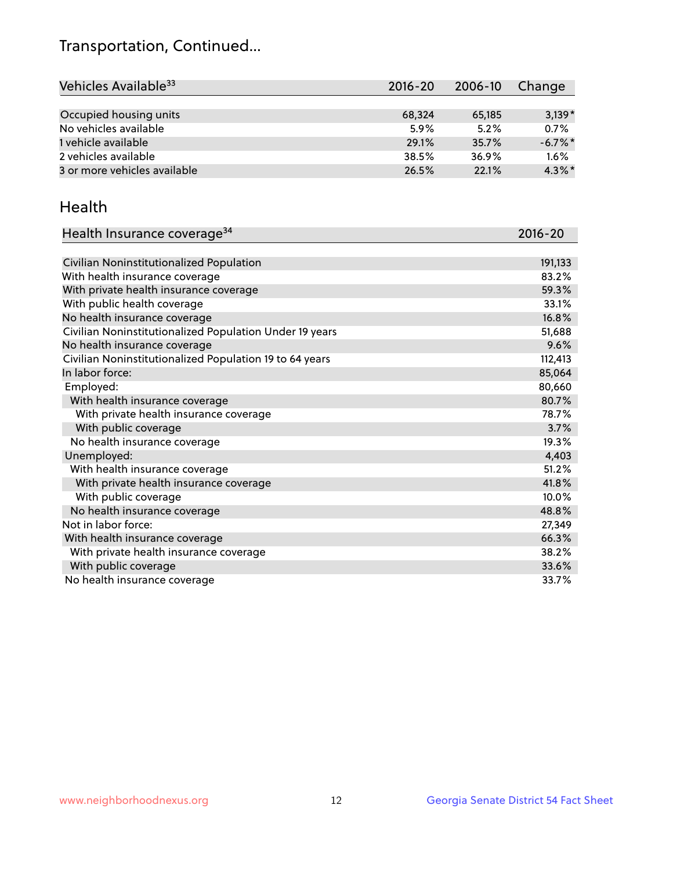## Transportation, Continued...

| Vehicles Available <sup>33</sup> | $2016 - 20$ | 2006-10 | Change     |
|----------------------------------|-------------|---------|------------|
|                                  |             |         |            |
| Occupied housing units           | 68,324      | 65,185  | $3,139*$   |
| No vehicles available            | 5.9%        | 5.2%    | 0.7%       |
| 1 vehicle available              | 29.1%       | 35.7%   | $-6.7\%$ * |
| 2 vehicles available             | 38.5%       | 36.9%   | 1.6%       |
| 3 or more vehicles available     | 26.5%       | 22.1%   | $4.3\%$ *  |

#### Health

| Health Insurance coverage <sup>34</sup>                 | 2016-20 |
|---------------------------------------------------------|---------|
|                                                         |         |
| Civilian Noninstitutionalized Population                | 191,133 |
| With health insurance coverage                          | 83.2%   |
| With private health insurance coverage                  | 59.3%   |
| With public health coverage                             | 33.1%   |
| No health insurance coverage                            | 16.8%   |
| Civilian Noninstitutionalized Population Under 19 years | 51,688  |
| No health insurance coverage                            | 9.6%    |
| Civilian Noninstitutionalized Population 19 to 64 years | 112,413 |
| In labor force:                                         | 85,064  |
| Employed:                                               | 80,660  |
| With health insurance coverage                          | 80.7%   |
| With private health insurance coverage                  | 78.7%   |
| With public coverage                                    | 3.7%    |
| No health insurance coverage                            | 19.3%   |
| Unemployed:                                             | 4,403   |
| With health insurance coverage                          | 51.2%   |
| With private health insurance coverage                  | 41.8%   |
| With public coverage                                    | 10.0%   |
| No health insurance coverage                            | 48.8%   |
| Not in labor force:                                     | 27,349  |
| With health insurance coverage                          | 66.3%   |
| With private health insurance coverage                  | 38.2%   |
| With public coverage                                    | 33.6%   |
| No health insurance coverage                            | 33.7%   |